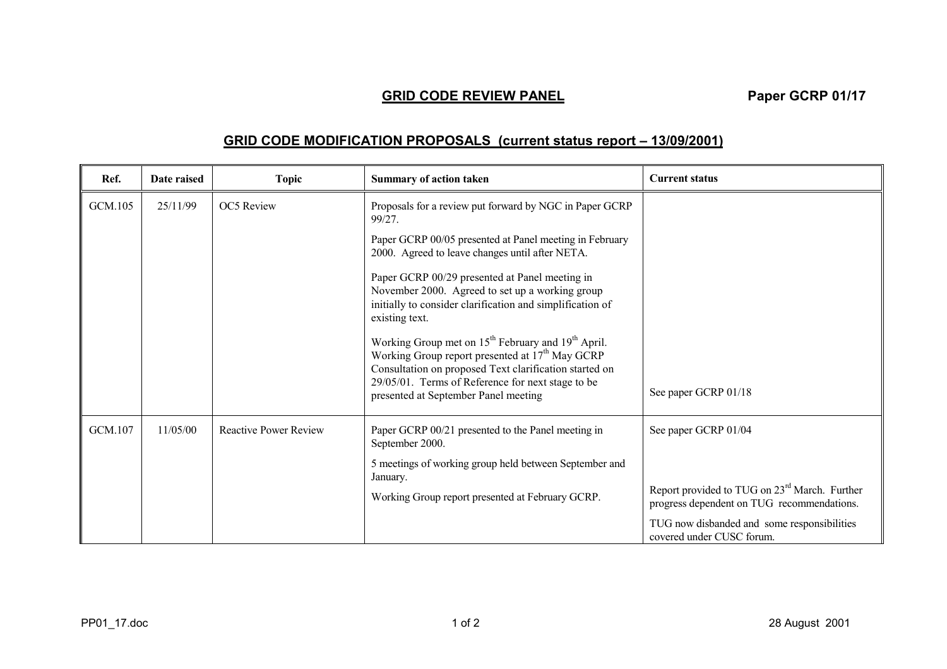## **GRID CODE REVIEW PANEL**<br> **Paper GCRP 01/17**

## **GRID CODE MODIFICATION PROPOSALS (current status report – 13/09/2001)**

| Ref.    | Date raised | <b>Topic</b>                 | <b>Summary of action taken</b>                                                                                                                                                                                                                                                                   | <b>Current status</b>                                                                                   |
|---------|-------------|------------------------------|--------------------------------------------------------------------------------------------------------------------------------------------------------------------------------------------------------------------------------------------------------------------------------------------------|---------------------------------------------------------------------------------------------------------|
| GCM.105 | 25/11/99    | <b>OC5</b> Review            | Proposals for a review put forward by NGC in Paper GCRP<br>99/27.                                                                                                                                                                                                                                |                                                                                                         |
|         |             |                              | Paper GCRP 00/05 presented at Panel meeting in February<br>2000. Agreed to leave changes until after NETA.                                                                                                                                                                                       |                                                                                                         |
|         |             |                              | Paper GCRP 00/29 presented at Panel meeting in<br>November 2000. Agreed to set up a working group<br>initially to consider clarification and simplification of<br>existing text.                                                                                                                 |                                                                                                         |
|         |             |                              | Working Group met on 15 <sup>th</sup> February and 19 <sup>th</sup> April.<br>Working Group report presented at 17 <sup>th</sup> May GCRP<br>Consultation on proposed Text clarification started on<br>29/05/01. Terms of Reference for next stage to be<br>presented at September Panel meeting | See paper GCRP 01/18                                                                                    |
| GCM.107 | 11/05/00    | <b>Reactive Power Review</b> | Paper GCRP 00/21 presented to the Panel meeting in<br>September 2000.                                                                                                                                                                                                                            | See paper GCRP 01/04                                                                                    |
|         |             |                              | 5 meetings of working group held between September and<br>January.                                                                                                                                                                                                                               |                                                                                                         |
|         |             |                              | Working Group report presented at February GCRP.                                                                                                                                                                                                                                                 | Report provided to TUG on 23 <sup>rd</sup> March. Further<br>progress dependent on TUG recommendations. |
|         |             |                              |                                                                                                                                                                                                                                                                                                  | TUG now disbanded and some responsibilities<br>covered under CUSC forum.                                |